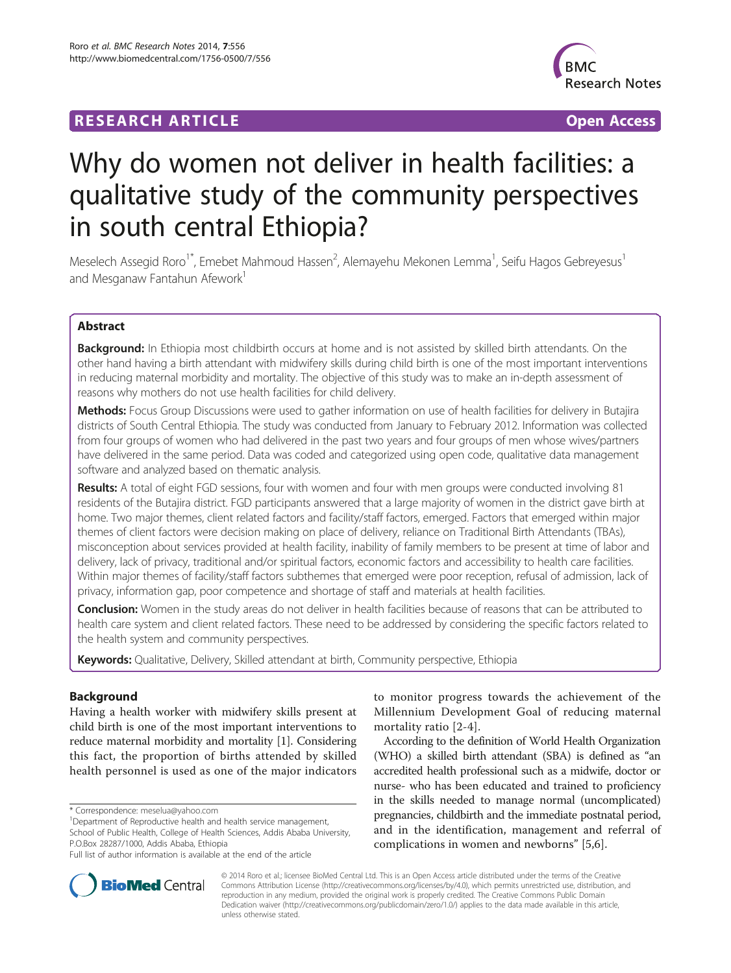# **RESEARCH ARTICLE Example 2018 12:00 Department of the CONNECTION CONNECTION CONNECTION CONNECTION**



# Why do women not deliver in health facilities: a qualitative study of the community perspectives in south central Ethiopia?

Meselech Assegid Roro<sup>1\*</sup>, Emebet Mahmoud Hassen<sup>2</sup>, Alemayehu Mekonen Lemma<sup>1</sup>, Seifu Hagos Gebreyesus<sup>1</sup> and Mesganaw Fantahun Afework<sup>1</sup>

# Abstract

Background: In Ethiopia most childbirth occurs at home and is not assisted by skilled birth attendants. On the other hand having a birth attendant with midwifery skills during child birth is one of the most important interventions in reducing maternal morbidity and mortality. The objective of this study was to make an in-depth assessment of reasons why mothers do not use health facilities for child delivery.

Methods: Focus Group Discussions were used to gather information on use of health facilities for delivery in Butajira districts of South Central Ethiopia. The study was conducted from January to February 2012. Information was collected from four groups of women who had delivered in the past two years and four groups of men whose wives/partners have delivered in the same period. Data was coded and categorized using open code, qualitative data management software and analyzed based on thematic analysis.

Results: A total of eight FGD sessions, four with women and four with men groups were conducted involving 81 residents of the Butajira district. FGD participants answered that a large majority of women in the district gave birth at home. Two major themes, client related factors and facility/staff factors, emerged. Factors that emerged within major themes of client factors were decision making on place of delivery, reliance on Traditional Birth Attendants (TBAs), misconception about services provided at health facility, inability of family members to be present at time of labor and delivery, lack of privacy, traditional and/or spiritual factors, economic factors and accessibility to health care facilities. Within major themes of facility/staff factors subthemes that emerged were poor reception, refusal of admission, lack of privacy, information gap, poor competence and shortage of staff and materials at health facilities.

**Conclusion:** Women in the study areas do not deliver in health facilities because of reasons that can be attributed to health care system and client related factors. These need to be addressed by considering the specific factors related to the health system and community perspectives.

Keywords: Qualitative, Delivery, Skilled attendant at birth, Community perspective, Ethiopia

# Background

Having a health worker with midwifery skills present at child birth is one of the most important interventions to reduce maternal morbidity and mortality [[1\]](#page-6-0). Considering this fact, the proportion of births attended by skilled health personnel is used as one of the major indicators

\* Correspondence: [meselua@yahoo.com](mailto:meselua@yahoo.com) <sup>1</sup>

to monitor progress towards the achievement of the Millennium Development Goal of reducing maternal mortality ratio [[2](#page-6-0)-[4](#page-6-0)].

According to the definition of World Health Organization (WHO) a skilled birth attendant (SBA) is defined as "an accredited health professional such as a midwife, doctor or nurse- who has been educated and trained to proficiency in the skills needed to manage normal (uncomplicated) pregnancies, childbirth and the immediate postnatal period, and in the identification, management and referral of complications in women and newborns" [\[5,6\]](#page-6-0).



© 2014 Roro et al.; licensee BioMed Central Ltd. This is an Open Access article distributed under the terms of the Creative Commons Attribution License [\(http://creativecommons.org/licenses/by/4.0\)](http://creativecommons.org/licenses/by/4.0), which permits unrestricted use, distribution, and reproduction in any medium, provided the original work is properly credited. The Creative Commons Public Domain Dedication waiver [\(http://creativecommons.org/publicdomain/zero/1.0/](http://creativecommons.org/publicdomain/zero/1.0/)) applies to the data made available in this article, unless otherwise stated.

Department of Reproductive health and health service management, School of Public Health, College of Health Sciences, Addis Ababa University, P.O.Box 28287/1000, Addis Ababa, Ethiopia

Full list of author information is available at the end of the article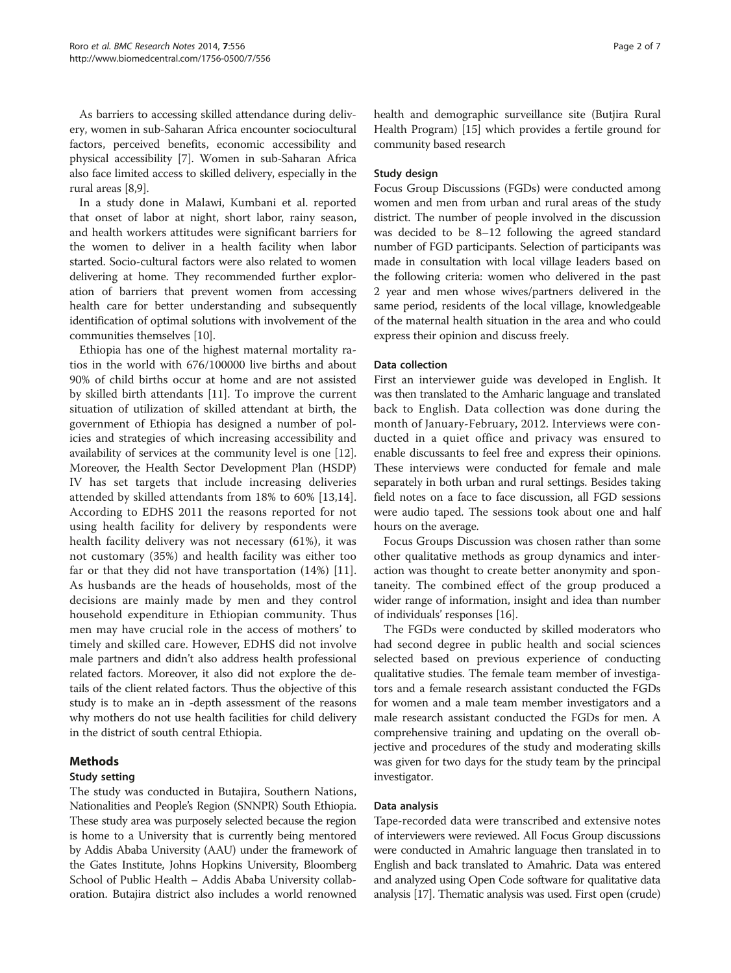As barriers to accessing skilled attendance during delivery, women in sub-Saharan Africa encounter sociocultural factors, perceived benefits, economic accessibility and physical accessibility [\[7\]](#page-6-0). Women in sub-Saharan Africa also face limited access to skilled delivery, especially in the rural areas [[8,9](#page-6-0)].

In a study done in Malawi, Kumbani et al. reported that onset of labor at night, short labor, rainy season, and health workers attitudes were significant barriers for the women to deliver in a health facility when labor started. Socio-cultural factors were also related to women delivering at home. They recommended further exploration of barriers that prevent women from accessing health care for better understanding and subsequently identification of optimal solutions with involvement of the communities themselves [[10](#page-6-0)].

Ethiopia has one of the highest maternal mortality ratios in the world with 676/100000 live births and about 90% of child births occur at home and are not assisted by skilled birth attendants [\[11](#page-6-0)]. To improve the current situation of utilization of skilled attendant at birth, the government of Ethiopia has designed a number of policies and strategies of which increasing accessibility and availability of services at the community level is one [[12](#page-6-0)]. Moreover, the Health Sector Development Plan (HSDP) IV has set targets that include increasing deliveries attended by skilled attendants from 18% to 60% [[13,14](#page-6-0)]. According to EDHS 2011 the reasons reported for not using health facility for delivery by respondents were health facility delivery was not necessary (61%), it was not customary (35%) and health facility was either too far or that they did not have transportation (14%) [\[11](#page-6-0)]. As husbands are the heads of households, most of the decisions are mainly made by men and they control household expenditure in Ethiopian community. Thus men may have crucial role in the access of mothers' to timely and skilled care. However, EDHS did not involve male partners and didn't also address health professional related factors. Moreover, it also did not explore the details of the client related factors. Thus the objective of this study is to make an in -depth assessment of the reasons why mothers do not use health facilities for child delivery in the district of south central Ethiopia.

# Methods

# Study setting

The study was conducted in Butajira, Southern Nations, Nationalities and People's Region (SNNPR) South Ethiopia. These study area was purposely selected because the region is home to a University that is currently being mentored by Addis Ababa University (AAU) under the framework of the Gates Institute, Johns Hopkins University, Bloomberg School of Public Health – Addis Ababa University collaboration. Butajira district also includes a world renowned

health and demographic surveillance site (Butjira Rural Health Program) [\[15](#page-6-0)] which provides a fertile ground for community based research

# Study design

Focus Group Discussions (FGDs) were conducted among women and men from urban and rural areas of the study district. The number of people involved in the discussion was decided to be 8–12 following the agreed standard number of FGD participants. Selection of participants was made in consultation with local village leaders based on the following criteria: women who delivered in the past 2 year and men whose wives/partners delivered in the same period, residents of the local village, knowledgeable of the maternal health situation in the area and who could express their opinion and discuss freely.

# Data collection

First an interviewer guide was developed in English. It was then translated to the Amharic language and translated back to English. Data collection was done during the month of January-February, 2012. Interviews were conducted in a quiet office and privacy was ensured to enable discussants to feel free and express their opinions. These interviews were conducted for female and male separately in both urban and rural settings. Besides taking field notes on a face to face discussion, all FGD sessions were audio taped. The sessions took about one and half hours on the average.

Focus Groups Discussion was chosen rather than some other qualitative methods as group dynamics and interaction was thought to create better anonymity and spontaneity. The combined effect of the group produced a wider range of information, insight and idea than number of individuals' responses [\[16\]](#page-6-0).

The FGDs were conducted by skilled moderators who had second degree in public health and social sciences selected based on previous experience of conducting qualitative studies. The female team member of investigators and a female research assistant conducted the FGDs for women and a male team member investigators and a male research assistant conducted the FGDs for men. A comprehensive training and updating on the overall objective and procedures of the study and moderating skills was given for two days for the study team by the principal investigator.

#### Data analysis

Tape-recorded data were transcribed and extensive notes of interviewers were reviewed. All Focus Group discussions were conducted in Amahric language then translated in to English and back translated to Amahric. Data was entered and analyzed using Open Code software for qualitative data analysis [\[17](#page-6-0)]. Thematic analysis was used. First open (crude)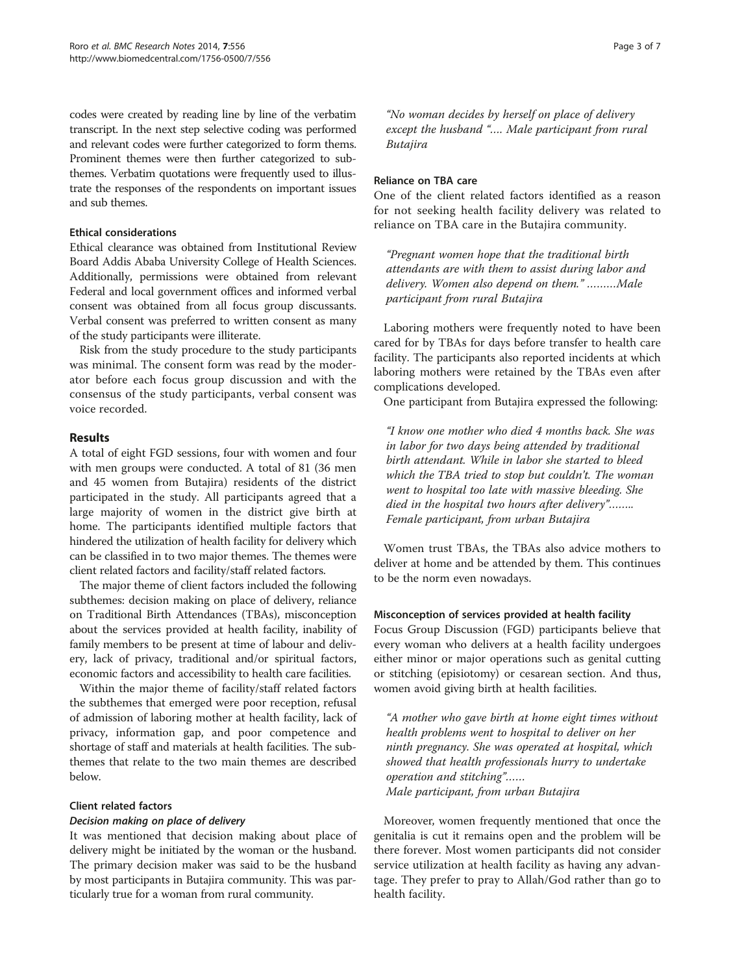codes were created by reading line by line of the verbatim transcript. In the next step selective coding was performed and relevant codes were further categorized to form thems. Prominent themes were then further categorized to subthemes. Verbatim quotations were frequently used to illustrate the responses of the respondents on important issues and sub themes.

### Ethical considerations

Ethical clearance was obtained from Institutional Review Board Addis Ababa University College of Health Sciences. Additionally, permissions were obtained from relevant Federal and local government offices and informed verbal consent was obtained from all focus group discussants. Verbal consent was preferred to written consent as many of the study participants were illiterate.

Risk from the study procedure to the study participants was minimal. The consent form was read by the moderator before each focus group discussion and with the consensus of the study participants, verbal consent was voice recorded.

# Results

A total of eight FGD sessions, four with women and four with men groups were conducted. A total of 81 (36 men and 45 women from Butajira) residents of the district participated in the study. All participants agreed that a large majority of women in the district give birth at home. The participants identified multiple factors that hindered the utilization of health facility for delivery which can be classified in to two major themes. The themes were client related factors and facility/staff related factors.

The major theme of client factors included the following subthemes: decision making on place of delivery, reliance on Traditional Birth Attendances (TBAs), misconception about the services provided at health facility, inability of family members to be present at time of labour and delivery, lack of privacy, traditional and/or spiritual factors, economic factors and accessibility to health care facilities.

Within the major theme of facility/staff related factors the subthemes that emerged were poor reception, refusal of admission of laboring mother at health facility, lack of privacy, information gap, and poor competence and shortage of staff and materials at health facilities. The subthemes that relate to the two main themes are described below.

# Client related factors

# Decision making on place of delivery

It was mentioned that decision making about place of delivery might be initiated by the woman or the husband. The primary decision maker was said to be the husband by most participants in Butajira community. This was particularly true for a woman from rural community.

"No woman decides by herself on place of delivery except the husband "…. Male participant from rural Butajira

# Reliance on TBA care

One of the client related factors identified as a reason for not seeking health facility delivery was related to reliance on TBA care in the Butajira community.

"Pregnant women hope that the traditional birth attendants are with them to assist during labor and delivery. Women also depend on them." ………Male participant from rural Butajira

Laboring mothers were frequently noted to have been cared for by TBAs for days before transfer to health care facility. The participants also reported incidents at which laboring mothers were retained by the TBAs even after complications developed.

One participant from Butajira expressed the following:

"I know one mother who died 4 months back. She was in labor for two days being attended by traditional birth attendant. While in labor she started to bleed which the TBA tried to stop but couldn't. The woman went to hospital too late with massive bleeding. She died in the hospital two hours after delivery"........ Female participant, from urban Butajira

Women trust TBAs, the TBAs also advice mothers to deliver at home and be attended by them. This continues to be the norm even nowadays.

#### Misconception of services provided at health facility

Focus Group Discussion (FGD) participants believe that every woman who delivers at a health facility undergoes either minor or major operations such as genital cutting or stitching (episiotomy) or cesarean section. And thus, women avoid giving birth at health facilities.

"A mother who gave birth at home eight times without health problems went to hospital to deliver on her ninth pregnancy. She was operated at hospital, which showed that health professionals hurry to undertake operation and stitching"…… Male participant, from urban Butajira

Moreover, women frequently mentioned that once the genitalia is cut it remains open and the problem will be there forever. Most women participants did not consider service utilization at health facility as having any advantage. They prefer to pray to Allah/God rather than go to health facility.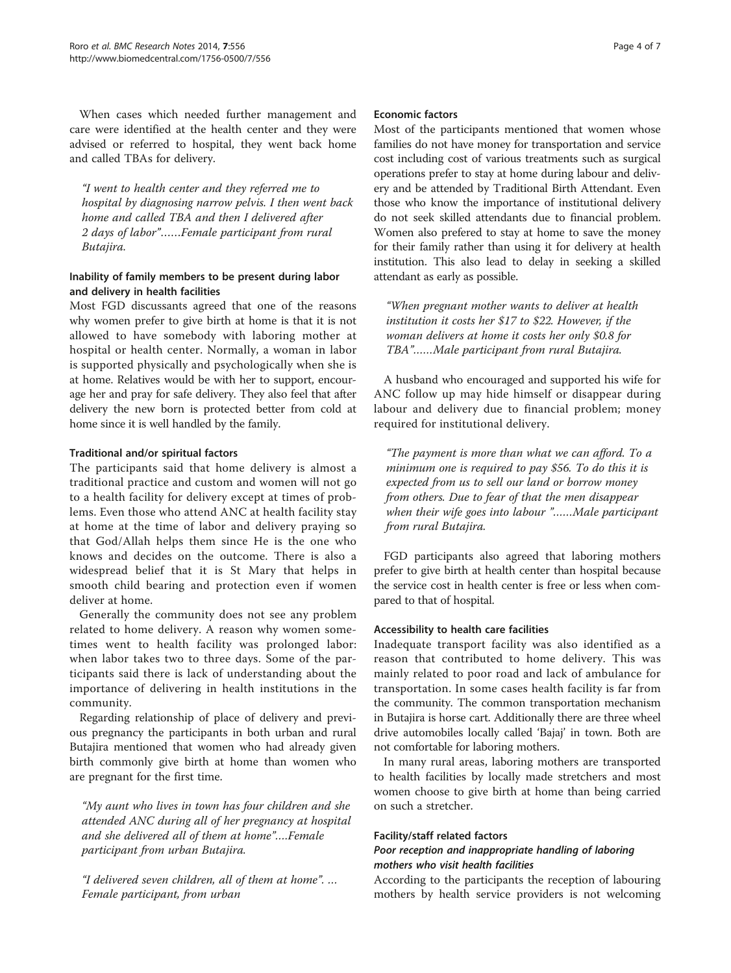When cases which needed further management and care were identified at the health center and they were advised or referred to hospital, they went back home and called TBAs for delivery.

"I went to health center and they referred me to hospital by diagnosing narrow pelvis. I then went back home and called TBA and then I delivered after 2 days of labor"……Female participant from rural Butajira.

# Inability of family members to be present during labor and delivery in health facilities

Most FGD discussants agreed that one of the reasons why women prefer to give birth at home is that it is not allowed to have somebody with laboring mother at hospital or health center. Normally, a woman in labor is supported physically and psychologically when she is at home. Relatives would be with her to support, encourage her and pray for safe delivery. They also feel that after delivery the new born is protected better from cold at home since it is well handled by the family.

# Traditional and/or spiritual factors

The participants said that home delivery is almost a traditional practice and custom and women will not go to a health facility for delivery except at times of problems. Even those who attend ANC at health facility stay at home at the time of labor and delivery praying so that God/Allah helps them since He is the one who knows and decides on the outcome. There is also a widespread belief that it is St Mary that helps in smooth child bearing and protection even if women deliver at home.

Generally the community does not see any problem related to home delivery. A reason why women sometimes went to health facility was prolonged labor: when labor takes two to three days. Some of the participants said there is lack of understanding about the importance of delivering in health institutions in the community.

Regarding relationship of place of delivery and previous pregnancy the participants in both urban and rural Butajira mentioned that women who had already given birth commonly give birth at home than women who are pregnant for the first time.

"My aunt who lives in town has four children and she attended ANC during all of her pregnancy at hospital and she delivered all of them at home"….Female participant from urban Butajira.

"I delivered seven children, all of them at home". … Female participant, from urban

#### Economic factors

Most of the participants mentioned that women whose families do not have money for transportation and service cost including cost of various treatments such as surgical operations prefer to stay at home during labour and delivery and be attended by Traditional Birth Attendant. Even those who know the importance of institutional delivery do not seek skilled attendants due to financial problem. Women also prefered to stay at home to save the money for their family rather than using it for delivery at health institution. This also lead to delay in seeking a skilled attendant as early as possible.

"When pregnant mother wants to deliver at health institution it costs her \$17 to \$22. However, if the woman delivers at home it costs her only \$0.8 for TBA"……Male participant from rural Butajira.

A husband who encouraged and supported his wife for ANC follow up may hide himself or disappear during labour and delivery due to financial problem; money required for institutional delivery.

"The payment is more than what we can afford. To a minimum one is required to pay \$56. To do this it is expected from us to sell our land or borrow money from others. Due to fear of that the men disappear when their wife goes into labour "……Male participant from rural Butajira.

FGD participants also agreed that laboring mothers prefer to give birth at health center than hospital because the service cost in health center is free or less when compared to that of hospital.

# Accessibility to health care facilities

Inadequate transport facility was also identified as a reason that contributed to home delivery. This was mainly related to poor road and lack of ambulance for transportation. In some cases health facility is far from the community. The common transportation mechanism in Butajira is horse cart. Additionally there are three wheel drive automobiles locally called 'Bajaj' in town. Both are not comfortable for laboring mothers.

In many rural areas, laboring mothers are transported to health facilities by locally made stretchers and most women choose to give birth at home than being carried on such a stretcher.

#### Facility/staff related factors

# Poor reception and inappropriate handling of laboring mothers who visit health facilities

According to the participants the reception of labouring mothers by health service providers is not welcoming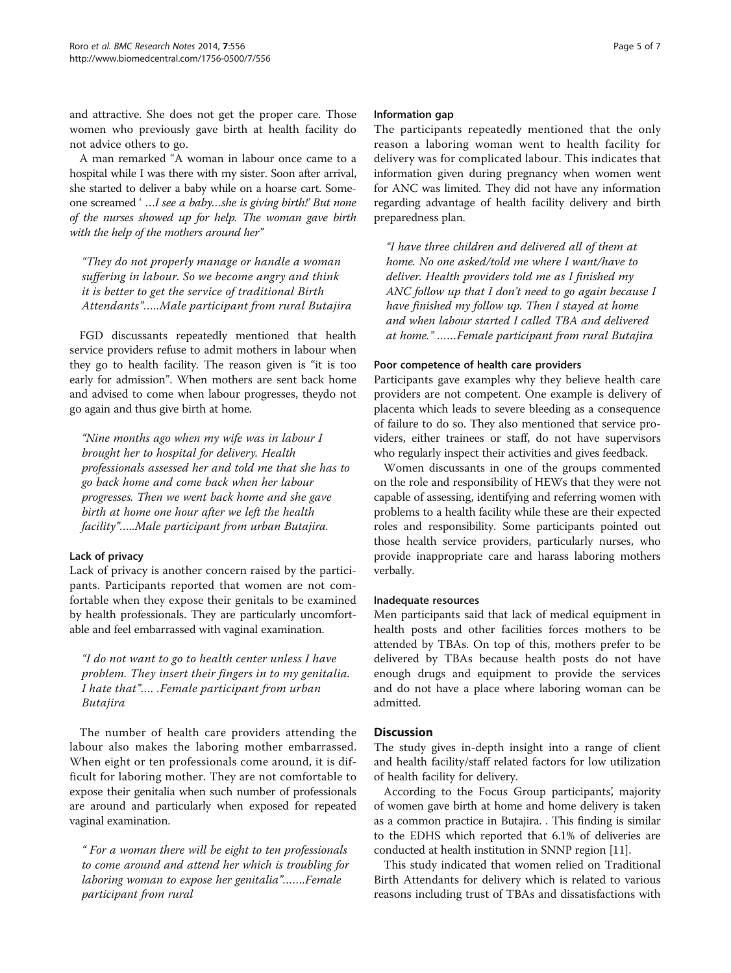and attractive. She does not get the proper care. Those women who previously gave birth at health facility do not advice others to go.

A man remarked "A woman in labour once came to a hospital while I was there with my sister. Soon after arrival, she started to deliver a baby while on a hoarse cart. Someone screamed ' …I see a baby…she is giving birth!' But none of the nurses showed up for help. The woman gave birth with the help of the mothers around her"

"They do not properly manage or handle a woman suffering in labour. So we become angry and think it is better to get the service of traditional Birth Attendants"…..Male participant from rural Butajira

FGD discussants repeatedly mentioned that health service providers refuse to admit mothers in labour when they go to health facility. The reason given is "it is too early for admission". When mothers are sent back home and advised to come when labour progresses, theydo not go again and thus give birth at home.

"Nine months ago when my wife was in labour I brought her to hospital for delivery. Health professionals assessed her and told me that she has to go back home and come back when her labour progresses. Then we went back home and she gave birth at home one hour after we left the health facility"…..Male participant from urban Butajira.

# Lack of privacy

Lack of privacy is another concern raised by the participants. Participants reported that women are not comfortable when they expose their genitals to be examined by health professionals. They are particularly uncomfortable and feel embarrassed with vaginal examination.

"I do not want to go to health center unless I have problem. They insert their fingers in to my genitalia. I hate that"…. .Female participant from urban Butajira

The number of health care providers attending the labour also makes the laboring mother embarrassed. When eight or ten professionals come around, it is difficult for laboring mother. They are not comfortable to expose their genitalia when such number of professionals are around and particularly when exposed for repeated vaginal examination.

" For a woman there will be eight to ten professionals to come around and attend her which is troubling for laboring woman to expose her genitalia"…….Female participant from rural

#### Information gap

The participants repeatedly mentioned that the only reason a laboring woman went to health facility for delivery was for complicated labour. This indicates that information given during pregnancy when women went for ANC was limited. They did not have any information regarding advantage of health facility delivery and birth preparedness plan.

"I have three children and delivered all of them at home. No one asked/told me where I want/have to deliver. Health providers told me as I finished my ANC follow up that I don't need to go again because I have finished my follow up. Then I stayed at home and when labour started I called TBA and delivered at home." ……Female participant from rural Butajira

#### Poor competence of health care providers

Participants gave examples why they believe health care providers are not competent. One example is delivery of placenta which leads to severe bleeding as a consequence of failure to do so. They also mentioned that service providers, either trainees or staff, do not have supervisors who regularly inspect their activities and gives feedback.

Women discussants in one of the groups commented on the role and responsibility of HEWs that they were not capable of assessing, identifying and referring women with problems to a health facility while these are their expected roles and responsibility. Some participants pointed out those health service providers, particularly nurses, who provide inappropriate care and harass laboring mothers verbally.

#### Inadequate resources

Men participants said that lack of medical equipment in health posts and other facilities forces mothers to be attended by TBAs. On top of this, mothers prefer to be delivered by TBAs because health posts do not have enough drugs and equipment to provide the services and do not have a place where laboring woman can be admitted.

# **Discussion**

The study gives in-depth insight into a range of client and health facility/staff related factors for low utilization of health facility for delivery.

According to the Focus Group participants', majority of women gave birth at home and home delivery is taken as a common practice in Butajira. . This finding is similar to the EDHS which reported that 6.1% of deliveries are conducted at health institution in SNNP region [[11](#page-6-0)].

This study indicated that women relied on Traditional Birth Attendants for delivery which is related to various reasons including trust of TBAs and dissatisfactions with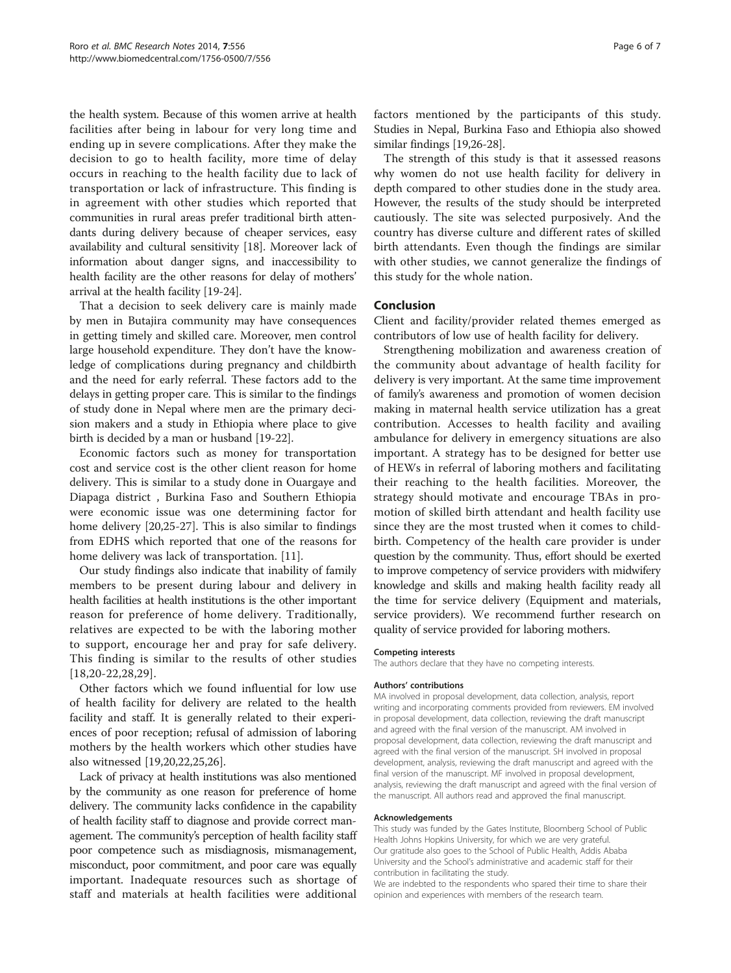the health system. Because of this women arrive at health facilities after being in labour for very long time and ending up in severe complications. After they make the decision to go to health facility, more time of delay occurs in reaching to the health facility due to lack of transportation or lack of infrastructure. This finding is in agreement with other studies which reported that communities in rural areas prefer traditional birth attendants during delivery because of cheaper services, easy availability and cultural sensitivity [\[18](#page-6-0)]. Moreover lack of information about danger signs, and inaccessibility to health facility are the other reasons for delay of mothers' arrival at the health facility [[19-24\]](#page-6-0).

That a decision to seek delivery care is mainly made by men in Butajira community may have consequences in getting timely and skilled care. Moreover, men control large household expenditure. They don't have the knowledge of complications during pregnancy and childbirth and the need for early referral. These factors add to the delays in getting proper care. This is similar to the findings of study done in Nepal where men are the primary decision makers and a study in Ethiopia where place to give birth is decided by a man or husband [\[19-22](#page-6-0)].

Economic factors such as money for transportation cost and service cost is the other client reason for home delivery. This is similar to a study done in Ouargaye and Diapaga district , Burkina Faso and Southern Ethiopia were economic issue was one determining factor for home delivery [\[20,25-27](#page-6-0)]. This is also similar to findings from EDHS which reported that one of the reasons for home delivery was lack of transportation. [\[11\]](#page-6-0).

Our study findings also indicate that inability of family members to be present during labour and delivery in health facilities at health institutions is the other important reason for preference of home delivery. Traditionally, relatives are expected to be with the laboring mother to support, encourage her and pray for safe delivery. This finding is similar to the results of other studies [[18](#page-6-0),[20-22,28](#page-6-0),[29\]](#page-6-0).

Other factors which we found influential for low use of health facility for delivery are related to the health facility and staff. It is generally related to their experiences of poor reception; refusal of admission of laboring mothers by the health workers which other studies have also witnessed [\[19,20,22,25,26\]](#page-6-0).

Lack of privacy at health institutions was also mentioned by the community as one reason for preference of home delivery. The community lacks confidence in the capability of health facility staff to diagnose and provide correct management. The community's perception of health facility staff poor competence such as misdiagnosis, mismanagement, misconduct, poor commitment, and poor care was equally important. Inadequate resources such as shortage of staff and materials at health facilities were additional

factors mentioned by the participants of this study. Studies in Nepal, Burkina Faso and Ethiopia also showed similar findings [\[19,26](#page-6-0)-[28](#page-6-0)].

The strength of this study is that it assessed reasons why women do not use health facility for delivery in depth compared to other studies done in the study area. However, the results of the study should be interpreted cautiously. The site was selected purposively. And the country has diverse culture and different rates of skilled birth attendants. Even though the findings are similar with other studies, we cannot generalize the findings of this study for the whole nation.

# Conclusion

Client and facility/provider related themes emerged as contributors of low use of health facility for delivery.

Strengthening mobilization and awareness creation of the community about advantage of health facility for delivery is very important. At the same time improvement of family's awareness and promotion of women decision making in maternal health service utilization has a great contribution. Accesses to health facility and availing ambulance for delivery in emergency situations are also important. A strategy has to be designed for better use of HEWs in referral of laboring mothers and facilitating their reaching to the health facilities. Moreover, the strategy should motivate and encourage TBAs in promotion of skilled birth attendant and health facility use since they are the most trusted when it comes to childbirth. Competency of the health care provider is under question by the community. Thus, effort should be exerted to improve competency of service providers with midwifery knowledge and skills and making health facility ready all the time for service delivery (Equipment and materials, service providers). We recommend further research on quality of service provided for laboring mothers.

#### Competing interests

The authors declare that they have no competing interests.

#### Authors' contributions

MA involved in proposal development, data collection, analysis, report writing and incorporating comments provided from reviewers. EM involved in proposal development, data collection, reviewing the draft manuscript and agreed with the final version of the manuscript. AM involved in proposal development, data collection, reviewing the draft manuscript and agreed with the final version of the manuscript. SH involved in proposal development, analysis, reviewing the draft manuscript and agreed with the final version of the manuscript. MF involved in proposal development, analysis, reviewing the draft manuscript and agreed with the final version of the manuscript. All authors read and approved the final manuscript.

#### Acknowledgements

This study was funded by the Gates Institute, Bloomberg School of Public Health Johns Hopkins University, for which we are very grateful. Our gratitude also goes to the School of Public Health, Addis Ababa University and the School's administrative and academic staff for their contribution in facilitating the study.

We are indebted to the respondents who spared their time to share their opinion and experiences with members of the research team.